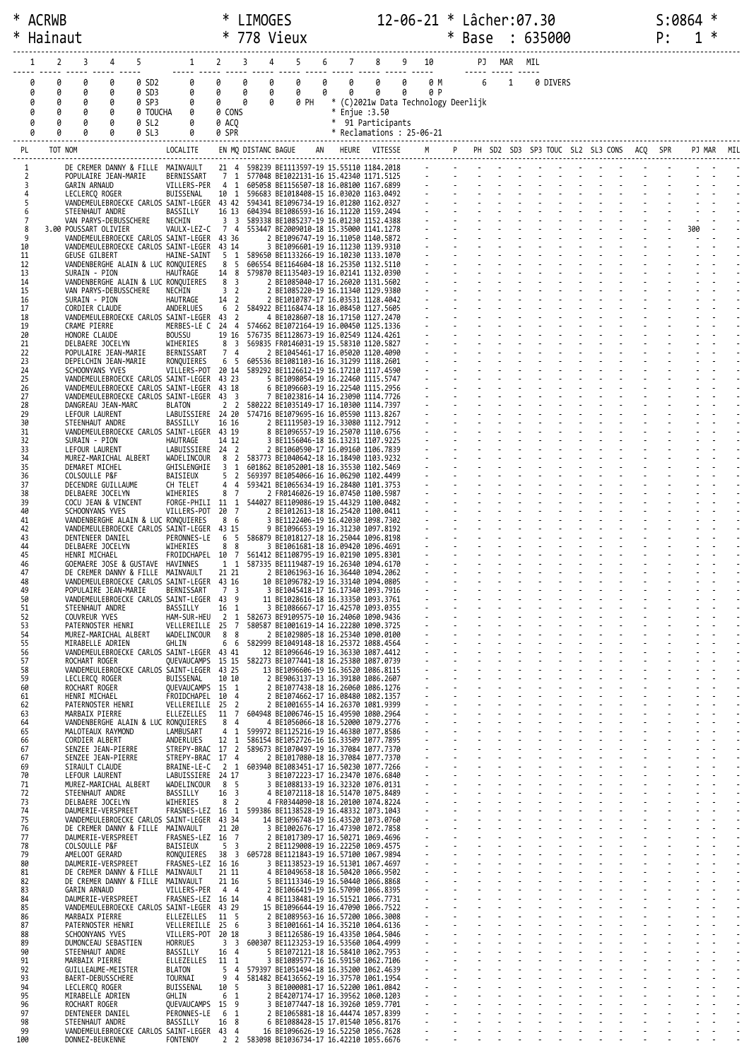| ∗   | * ACRWB<br>Hainaut                                                                                                                      | ∗<br>∗                 | <b>LIMOGES</b>          | 778 Vieux                                                                                 |        |                                                      | $12 - 06 - 21 *$ Lâcher: 07.30 |     | $\ast$ | Base            |                | : 635000 |          |                                      | S:0864<br>P: |     | ∗ |  |
|-----|-----------------------------------------------------------------------------------------------------------------------------------------|------------------------|-------------------------|-------------------------------------------------------------------------------------------|--------|------------------------------------------------------|--------------------------------|-----|--------|-----------------|----------------|----------|----------|--------------------------------------|--------------|-----|---|--|
|     | 3<br>4<br>2                                                                                                                             |                        |                         | 4<br>5                                                                                    | 7<br>6 |                                                      | $9$ 10                         |     |        |                 | PJ MAR MIL     |          |          |                                      |              |     |   |  |
|     | $1 \t 2 \t 3 \t 4$<br>0<br>0<br>0<br>0<br>0 SD2<br>0                                                                                    | $\theta$               | 0                       | 0<br>0                                                                                    | 0<br>0 | 0                                                    | 0                              | 0 M |        | $6\overline{6}$ | $\overline{1}$ |          | 0 DIVERS |                                      |              |     |   |  |
|     | 0 SD3<br>0<br>0<br>0<br>0<br>0                                                                                                          | 0                      | 0                       | 0<br>0                                                                                    | 0      | 0                                                    | 0                              | 0 P |        |                 |                |          |          |                                      |              |     |   |  |
|     | 0 SP3<br>0<br>0<br>0<br>0<br>0<br>0 TOUCHA<br>0<br>0<br>0<br>0                                                                          | $\theta$<br>0 CONS     | 0                       | 0<br>0 PH                                                                                 |        | * (C)2021w Data Technology Deerlijk<br>* Enjue :3.50 |                                |     |        |                 |                |          |          |                                      |              |     |   |  |
|     | 0 SL2<br>0<br>Ø<br>0<br>0<br>0 SL3<br>0                                                                                                 | 0 ACO<br>0 SPR         |                         |                                                                                           |        | * 91 Participants<br>* Reclamations : 25-06-21       |                                |     |        |                 |                |          |          |                                      |              |     |   |  |
|     | TOT NOM<br>PL<br>LOCALITE                                                                                                               |                        | EN MQ DISTANC BAGUE     |                                                                                           |        | HEURE VITESSE                                        |                                |     |        |                 |                |          |          | PH SD2 SD3 SP3 TOUC SL2 SL3 CONS ACQ |              |     |   |  |
|     | DE CREMER DANNY & FILLE MAINVAULT<br>1                                                                                                  |                        |                         | 21 4 598239 BE1113597-19 15.55110 1184.2018                                               |        |                                                      |                                |     |        |                 |                |          |          |                                      |              |     |   |  |
|     | POPULAIRE JEAN-MARIE<br>BERNISSART<br>2                                                                                                 | 7 <sub>1</sub><br>4 1  |                         | 577048 BE1022131-16 15.42340 1171.5125                                                    |        |                                                      |                                |     |        |                 |                |          |          |                                      |              |     |   |  |
|     | VILLERS-PER<br>3<br>GARIN ARNAUD<br>LECLERCQ ROGER<br>BUISSENAL<br>4                                                                    | 10 1                   |                         | 605058 BE1156507-18 16.08100 1167.6899<br>596683 BE1018408-15 16.03020 1163.0492          |        |                                                      |                                |     |        |                 |                |          |          |                                      |              |     |   |  |
|     | 5<br>VANDEMEULEBROECKE CARLOS SAINT-LEGER 43 42 594341 BE1096734-19 16.01280 1162.0327<br>STEENHAUT ANDRE<br>BASSILLY<br>6              |                        |                         | 16 13 604394 BE1086593-16 16.11220 1159.2494                                              |        |                                                      |                                |     |        |                 |                |          |          |                                      |              |     |   |  |
|     | $\overline{7}$<br>VAN PARYS-DEBUSSCHERE<br>NECHIN<br>8<br>3.00 POUSSART OLIVIER<br>VAULX-LEZ-C                                          | 3 <sup>3</sup><br>7 4  |                         | 589338 BE1085237-19 16.01230 1152.4388<br>553447 BE2009010-18 15.35000 1141.1278          |        |                                                      |                                |     |        |                 |                |          |          |                                      |              | 300 |   |  |
|     | 9<br>VANDEMEULEBROECKE CARLOS SAINT-LEGER<br>VANDEMEULEBROECKE CARLOS SAINT-LEGER<br>10                                                 | 43 36<br>43 14         |                         | 2 BE1096747-19 16.11050 1140.5872<br>3 BE1096601-19 16.11230 1139.9310                    |        |                                                      |                                |     |        |                 |                |          |          |                                      |              |     |   |  |
|     | 11<br><b>GEUSE GILBERT</b><br>HAINE-SAINT<br>VANDENBERGHE ALAIN & LUC RONQUIERES<br>12                                                  | 5 1<br>8 5             |                         | 589650 BE1133266-19 16.10230 1133.1070<br>606554 BE1164604-18 16.25350 1132.5110          |        |                                                      |                                |     |        |                 |                |          |          |                                      |              |     |   |  |
|     | 13<br>HAUTRAGE<br>SURAIN - PION<br>VANDENBERGHE ALAIN & LUC RONQUIERES<br>14                                                            | 14 8<br>8 3            |                         | 579870 BE1135403-19 16.02141 1132.0390<br>2 BE1085040-17 16.26020 1131.5602               |        |                                                      |                                |     |        |                 |                |          |          |                                      |              |     |   |  |
|     | 15<br>VAN PARYS-DEBUSSCHERE<br>NECHIN<br>SURAIN - PION<br>HAUTRAGE<br>16                                                                | 3 <sub>2</sub><br>14 2 |                         | 2 BE1085220-19 16.11340 1129.9380<br>2 BE1010787-17 16.03531 1128.4042                    |        |                                                      |                                |     |        |                 |                |          |          |                                      |              |     |   |  |
|     | ANDERLUES<br>17<br>CORDIER CLAUDE                                                                                                       | 6                      |                         | 2 584922 BE1168474-18 16.08450 1127.5605                                                  |        |                                                      |                                |     |        |                 |                |          |          |                                      |              |     |   |  |
|     | VANDEMEULEBROECKE CARLOS SAINT-LEGER 43 2<br>18<br>19<br>CRAME PIERRE<br>MERBES-LE C 24 4                                               |                        |                         | 4 BE1028607-18 16.17150 1127.2470<br>574662 BE1072164-19 16.00450 1125.1336               |        |                                                      |                                |     |        |                 |                |          |          |                                      |              |     |   |  |
|     | 20<br>HONORE CLAUDE<br><b>BOUSSU</b><br>WIHERIES<br>21<br>DELBAERE JOCELYN                                                              | 8                      | $\overline{\mathbf{3}}$ | 19 16 576735 BE1128673-19 16.02549 1124.4261<br>569835 FR0146031-19 15.58310 1120.5827    |        |                                                      |                                |     |        |                 |                |          |          |                                      |              |     |   |  |
|     | 22<br>POPULAIRE JEAN-MARIE<br>BERNISSART<br>23<br>DEPELCHIN JEAN-MARIE<br>RONQUIERES                                                    | 7 4<br>6 5             |                         | 2 BE1045461-17 16.05020 1120.4090<br>605536 BE1081103-16 16.31299 1118.2601               |        |                                                      |                                |     |        |                 |                |          |          |                                      |              |     |   |  |
|     | 24<br>SCHOONYANS YVES<br>VILLERS-POT 20 14<br>25<br>VANDEMEULEBROECKE CARLOS SAINT-LEGER                                                | 43 23                  |                         | 589292 BE1126612-19 16.17210 1117.4590<br>5 BE1098054-19 16.22460 1115.5747               |        |                                                      |                                |     |        |                 |                |          |          |                                      |              |     |   |  |
|     | 26<br>VANDEMEULEBROECKE CARLOS SAINT-LEGER<br>27<br>VANDEMEULEBROECKE CARLOS SAINT-LEGER                                                | 43 18<br>43 3          |                         | 6 BE1096603-19 16.22540 1115.2956<br>7 BE1023816-14 16.23090 1114.7726                    |        |                                                      |                                |     |        |                 |                |          |          |                                      |              |     |   |  |
|     | 28<br>DANGREAU JEAN-MARC<br><b>BLATON</b><br>29<br>LEFOUR LAURENT<br>LABUISSIERE 24 20                                                  | 2 <sub>2</sub>         |                         | 580222 BE1035149-17 16.10300 1114.7397<br>574716 BE1079695-16 16.05590 1113.8267          |        |                                                      |                                |     |        |                 |                |          |          |                                      |              |     |   |  |
|     | 30<br>STEENHAUT ANDRE<br>BASSILLY                                                                                                       | 16 16                  |                         | 2 BE1119503-19 16.33080 1112.7912                                                         |        |                                                      |                                |     |        |                 |                |          |          |                                      |              |     |   |  |
|     | 31<br>VANDEMEULEBROECKE CARLOS SAINT-LEGER 43 19<br>32<br>SURAIN - PION<br>HAUTRAGE                                                     | 14 12                  |                         | 8 BE1096557-19 16.25070 1110.6756<br>3 BE1156046-18 16.13231 1107.9225                    |        |                                                      |                                |     |        |                 |                |          |          |                                      |              |     |   |  |
|     | 33<br>LEFOUR LAURENT<br>LABUISSIERE 24 2<br>WADELINCOUR<br>34<br>MUREZ-MARICHAL ALBERT                                                  | 8 2                    |                         | 2 BE1060590-17 16.09160 1106.7839<br>583773 BE1040642-18 16.18490 1103.9232               |        |                                                      |                                |     |        |                 |                |          |          |                                      |              |     |   |  |
|     | 35<br>DEMARET MICHEL<br>GHISLENGHIE<br>36<br>COLSOULLE P&F<br>BAISIEUX                                                                  | 3<br>5                 | 1<br>$\overline{2}$     | 601862 BE1052001-18 16.35530 1102.5469<br>569397 BE1054066-16 16.06290 1102.4499          |        |                                                      |                                |     |        |                 |                |          |          |                                      |              |     |   |  |
|     | 37<br>DECENDRE GUILLAUME<br>CH TELET<br>38<br>DELBAERE JOCELYN<br>WIHERIES                                                              | 4<br>8 7               | 4                       | 593421 BE1065634-19 16.28480 1101.3753<br>2 FR0146026-19 16.07450 1100.5987               |        |                                                      |                                |     |        |                 |                |          |          |                                      |              |     |   |  |
|     | 39<br>COCU JEAN & VINCENT<br>FORGE-PHILI 11 1<br>40<br>SCHOONYANS YVES<br>VILLERS-POT                                                   | 20 7                   |                         | 544027 BE1109086-19 15.44329 1100.0482<br>2 BE1012613-18 16.25420 1100.0411               |        |                                                      |                                |     |        |                 |                |          |          |                                      |              |     |   |  |
|     | 41<br>VANDENBERGHE ALAIN & LUC RONQUIERES<br>VANDEMEULEBROECKE CARLOS SAINT-LEGER 43 15<br>42                                           | 8 6                    |                         | 3 BE1122406-19 16.42030 1098.7302<br>9 BE1096653-19 16.31230 1097.8192                    |        |                                                      |                                |     |        |                 |                |          |          |                                      |              |     |   |  |
|     | 43<br>DENTENEER DANIEL<br>PERONNES-LE<br>44<br>WIHERIES                                                                                 | 6<br>8                 | -5<br>8                 | 586879 BE1018127-18 16.25044 1096.8198                                                    |        |                                                      |                                |     |        |                 |                |          |          |                                      |              |     |   |  |
|     | DELBAERE JOCELYN<br>FROIDCHAPEL 10 7<br>45<br>HENRI MICHAEL                                                                             |                        |                         | 3 BE1061681-18 16.09420 1096.4691<br>561412 BE1108795-19 16.02190 1095.8301               |        |                                                      |                                |     |        |                 |                |          |          |                                      |              |     |   |  |
|     | GOEMAERE JOSE & GUSTAVE<br>HAVINNES<br>46<br>DE CREMER DANNY & FILLE MAINVAULT 21 21                                                    | $1\quad1$              |                         | 587335 BE1119487-19 16.26340 1094.6170<br>2 BE1061963-16 16.36440 1094.2062               |        |                                                      |                                |     |        |                 |                |          |          |                                      |              |     |   |  |
|     | 48<br>VANDEMEULEBROECKE CARLOS SAINT-LEGER 43 16<br>49<br>BERNISSART<br>POPULAIRE JEAN-MARIE                                            | 7 <sup>3</sup>         |                         | 10 BE1096782-19 16.33140 1094.0805<br>3 BE1045418-17 16.17340 1093.7916                   |        |                                                      |                                |     |        |                 |                |          |          |                                      |              |     |   |  |
|     | 50<br>VANDEMEULEBROECKE CARLOS SAINT-LEGER 43 9<br>51<br>STEENHAUT ANDRE<br>BASSILLY                                                    | 16 1                   |                         | 11 BE1028616-18 16.33350 1093.3761<br>3 BE1086667-17 16.42570 1093.0355                   |        |                                                      |                                |     |        |                 |                |          |          |                                      |              |     |   |  |
|     | COUVREUR YVES<br>HAM-SUR-HEU 2 1<br>52<br>53<br>VELLEREILLE 25 7<br>PATERNOSTER HENRI                                                   |                        |                         | 582673 BE9109575-10 16.24060 1090.9436<br>580587 BE1001619-14 16.22280 1090.3725          |        |                                                      |                                |     |        |                 |                |          |          |                                      |              |     |   |  |
|     | 54<br>WADELINCOUR 8 8<br>MUREZ-MARICHAL ALBERT<br>55<br>GHLIN<br>MIRABELLE ADRIEN                                                       | 6 6                    |                         | 2 BE1029805-18 16.25340 1090.0100<br>582999 BE1049148-18 16.25372 1088.4564               |        |                                                      |                                |     |        |                 |                |          |          |                                      |              |     |   |  |
|     | 56<br>VANDEMEULEBROECKE CARLOS SAINT-LEGER 43 41<br>57<br>QUEVAUCAMPS 15 15 582273 BE1077441-18 16.25380 1087.0739<br>ROCHART ROGER     |                        |                         | 12 BE1096646-19 16.36330 1087.4412                                                        |        |                                                      |                                |     |        |                 |                |          |          |                                      |              |     |   |  |
|     | 58<br>VANDEMEULEBROECKE CARLOS SAINT-LEGER 43 25                                                                                        |                        |                         | 13 BE1096606-19 16.36520 1086.8115                                                        |        |                                                      |                                |     |        |                 |                |          |          |                                      |              |     |   |  |
|     | 59<br>BUISSENAL<br>LECLERCQ ROGER<br>60<br>QUEVAUCAMPS 15 1<br>ROCHART ROGER                                                            | 10 10                  |                         | 2 BE9063137-13 16.39180 1086.2607<br>2 BE1077438-18 16.26060 1086.1276                    |        |                                                      |                                |     |        |                 |                |          |          |                                      |              |     |   |  |
|     | FROIDCHAPEL 10 4<br>61<br>HENRI MICHAEL<br>62<br>VELLEREILLE 25 2<br>PATERNOSTER HENRI                                                  |                        |                         | 2 BE1074662-17 16.08480 1082.1357<br>2 BE1001655-14 16.26370 1081.9399                    |        |                                                      |                                |     |        |                 |                |          |          |                                      |              |     |   |  |
|     | ELLEZELLES  11  7  604948 BE1006746-15  16.49590  1080.2964<br>63<br>MARBAIX PIERRE<br>VANDENBERGHE ALAIN & LUC RONQUIERES<br>64        | 8 4                    |                         | 4 BE1056066-18 16.52000 1079.2776                                                         |        |                                                      |                                |     |        |                 |                |          |          |                                      |              |     |   |  |
|     | 65<br>LAMBUSART<br>MALOTEAUX RAYMOND<br>ANDERLUES<br>66<br>CORDIER ALBERT                                                               |                        |                         | 4 1 599972 BE1125216-19 16.46380 1077.8586<br>12 1 586154 BE1052726-16 16.33509 1077.7895 |        |                                                      |                                |     |        |                 |                |          |          |                                      |              |     |   |  |
|     | STREPY-BRAC 17 2 589673 BE1070497-19 16.37084 1077.7370<br>67<br>SENZEE JEAN-PIERRE<br>67<br>STREPY-BRAC 17 4<br>SENZEE JEAN-PIERRE     |                        |                         | 2 BE1017080-18 16.37084 1077.7370                                                         |        |                                                      |                                |     |        |                 |                |          |          |                                      |              |     |   |  |
|     | BRAINE-LE-C 2 1 603940 BE1083451-17 16.50230 1077.7266<br>69<br>SIRAULT CLAUDE<br>LEFOUR LAURENT<br>LABUISSIERE 24 17<br>70             |                        |                         | 3 BE1072223-17 16.23470 1076.6840                                                         |        |                                                      |                                |     |        |                 |                |          |          |                                      |              |     |   |  |
|     | WADELINCOUR 8 5<br>71<br>MUREZ-MARICHAL ALBERT                                                                                          |                        |                         | 3 BE1088133-19 16.32320 1076.0131                                                         |        |                                                      |                                |     |        |                 |                |          |          |                                      |              |     |   |  |
|     | BASSILLY<br>72<br>STEENHAUT ANDRE<br>WIHERIES<br>73<br>DELBAERE JOCELYN                                                                 | 16 <sup>3</sup><br>8   | $\overline{2}$          | 4 BE1072118-18 16.51470 1075.8489<br>4 FR0344090-18 16.20100 1074.8224                    |        |                                                      |                                |     |        |                 |                |          |          |                                      |              |     |   |  |
|     | 74<br>FRASNES-LEZ 16 1 599386 BE1138528-19 16.48332 1073.1043<br>DAUMERIE-VERSPREET<br>75<br>VANDEMEULEBROECKE CARLOS SAINT-LEGER 43 34 |                        |                         | 14 BE1096748-19 16.43520 1073.0760                                                        |        |                                                      |                                |     |        |                 |                |          |          |                                      |              |     |   |  |
|     | DE CREMER DANNY & FILLE MAINVAULT<br>76<br>FRASNES-LEZ 16 7<br>77<br>DAUMERIE-VERSPREET                                                 | 21 20                  |                         | 3 BE1002676-17 16.47390 1072.7858<br>2 BE1017309-17 16.50271 1069.4696                    |        |                                                      |                                |     |        |                 |                |          |          |                                      |              |     |   |  |
|     | 78<br>BAISIEUX<br>COLSOULLE P&F<br>RONQUIERES<br>79<br>AMELOOT GERARD                                                                   | 5 <sup>3</sup>         |                         | 2 BE1129008-19 16.22250 1069.4575<br>38 3 605728 BE1121843-19 16.57100 1067.9894          |        |                                                      |                                |     |        |                 |                |          |          |                                      |              |     |   |  |
|     | 80<br>FRASNES-LEZ 16 16<br>DAUMERIE-VERSPREET<br>81<br>DE CREMER DANNY & FILLE MAINVAULT                                                | 21 11                  |                         | 3 BE1138523-19 16.51301 1067.4697<br>4 BE1049658-18 16.50420 1066.9502                    |        |                                                      |                                |     |        |                 |                |          |          |                                      |              |     |   |  |
|     | DE CREMER DANNY & FILLE MAINVAULT<br>82<br>VILLERS-PER 4 4<br>83<br><b>GARIN ARNAUD</b>                                                 | 21 16                  |                         | 5 BE1113346-19 16.50440 1066.8868<br>2 BE1066419-19 16.57090 1066.8395                    |        |                                                      |                                |     |        |                 |                |          |          |                                      |              |     |   |  |
|     | FRASNES-LEZ 16 14<br>84<br>DAUMERIE-VERSPREET<br>85<br>VANDEMEULEBROECKE CARLOS SAINT-LEGER 43 29                                       |                        |                         | 4 BE1138481-19 16.51521 1066.7731<br>15 BE1096644-19 16.47090 1066.7522                   |        |                                                      |                                |     |        |                 |                |          |          |                                      |              |     |   |  |
|     | 86<br>ELLEZELLES 11 5<br>MARBAIX PIERRE                                                                                                 |                        |                         | 2 BE1089563-16 16.57200 1066.3008                                                         |        |                                                      |                                |     |        |                 |                |          |          |                                      |              |     |   |  |
|     | 87<br>PATERNOSTER HENRI<br>VELLEREILLE 25 6<br>VILLERS-POT 20 18<br>88<br>SCHOONYANS YVES                                               |                        |                         | 3 BE1001661-14 16.35210 1064.6136<br>3 BE1126586-19 16.43350 1064.5046                    |        |                                                      |                                |     |        |                 |                |          |          |                                      |              |     |   |  |
|     | 89<br>DUMONCEAU SEBASTIEN<br>HORRUES<br>90<br>STEENHAUT ANDRE<br>BASSILLY                                                               | 16 4                   |                         | 3 3 600307 BE1123253-19 16.53560 1064.4999<br>5 BE1072121-18 16.58410 1062.7953           |        |                                                      |                                |     |        |                 |                |          |          |                                      |              |     |   |  |
|     | 91<br>MARBAIX PIERRE<br>ELLEZELLES<br>92<br>GUILLEAUME-MEISTER<br>BLATON                                                                | 11 1<br>5              | $\overline{4}$          | 3 BE1089577-16 16.59150 1062.7106<br>579397 BE1051494-18 16.35200 1062.4639               |        |                                                      |                                |     |        |                 |                |          |          |                                      |              |     |   |  |
|     | 93<br>BAERT-DEBUSSCHERE<br>TOURNAI<br>94<br>LECLERCQ ROGER<br>BUISSENAL                                                                 | 94<br>10 5             |                         | 581482 BE4136562-19 16.37570 1061.1954<br>3 BE1000081-17 16.52200 1061.0842               |        |                                                      |                                |     |        |                 |                |          |          |                                      |              |     |   |  |
|     | 95<br>MIRABELLE ADRIEN<br>GHLIN<br>96<br>QUEVAUCAMPS 15 9<br>ROCHART ROGER                                                              | 6 1                    |                         | 2 BE4207174-17 16.39562 1060.1203<br>3 BE1077447-18 16.39260 1059.7701                    |        |                                                      |                                |     |        |                 |                |          |          |                                      |              |     |   |  |
|     | PERONNES-LE<br>97<br>DENTENEER DANIEL<br>98<br>BASSILLY                                                                                 | 6 1<br>16 8            |                         | 2 BE1065881-18 16.44474 1057.8399<br>6 BE1088428-15 17.01540 1056.8176                    |        |                                                      |                                |     |        |                 |                |          |          |                                      |              |     |   |  |
|     | STEENHAUT ANDRE<br>99<br>VANDEMEULEBROECKE CARLOS SAINT-LEGER 43 4                                                                      |                        |                         | 16 BE1096626-19 16.52250 1056.7628                                                        |        |                                                      |                                |     |        |                 |                |          |          |                                      |              |     |   |  |
| 100 | FONTENOY<br>DONNEZ-BEUKENNE                                                                                                             |                        |                         | 2 2 583098 BE1036734-17 16.42210 1055.6676                                                |        |                                                      |                                |     |        |                 |                |          |          |                                      |              |     |   |  |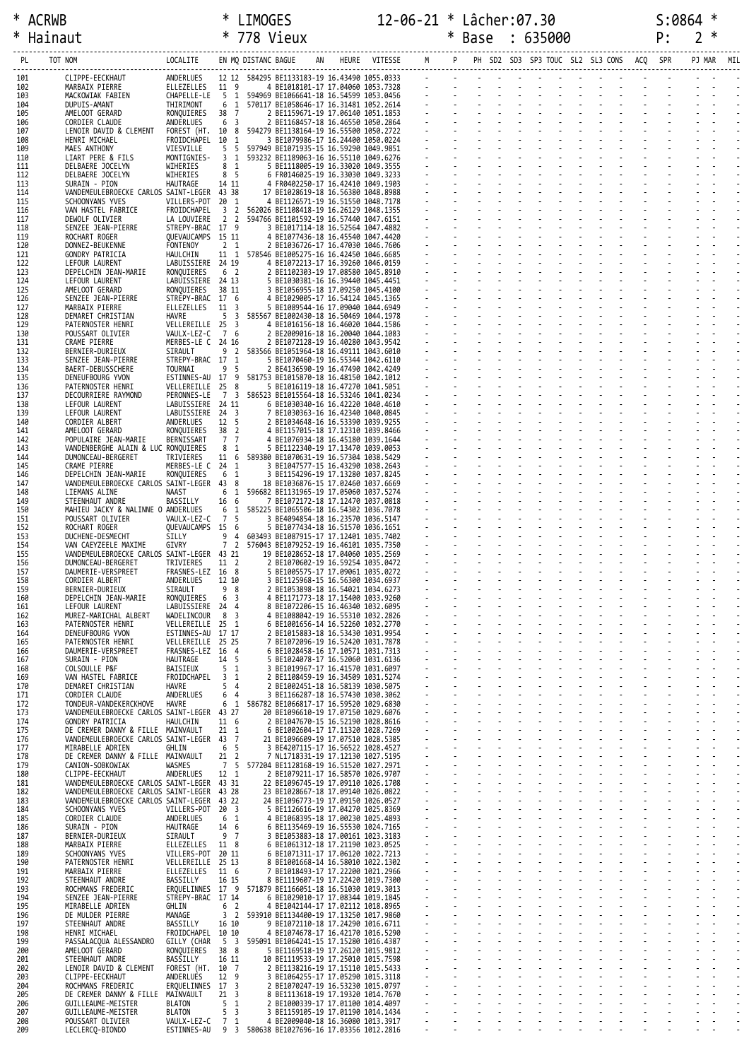\* ACRWB \* LIMOGES 12-06-21 \* Lâcher:07.30 S:0864 \* \* Hainaut \* 778 Vieux \* Base : 635000 P: 2 \*

| PL         | TOT NOM                                                                      | LOCALITE                              |                                | EN MQ DISTANC BAGUE |                                                                                                                                                                                                                                                                                          | HEURE VITESSE |                                                     |  |  |  | PH SD2 SD3 SP3 TOUC SL2 SL3 CONS ACQ SPR |  |  |
|------------|------------------------------------------------------------------------------|---------------------------------------|--------------------------------|---------------------|------------------------------------------------------------------------------------------------------------------------------------------------------------------------------------------------------------------------------------------------------------------------------------------|---------------|-----------------------------------------------------|--|--|--|------------------------------------------|--|--|
| 101        | ------------<br>CLIPPE-EECKHAUT<br>MARBAIX PIERRE                            | ANDERLUES                             |                                |                     | 12 12 584295 BE1133183-19 16.43490 1055.0333<br>364299 81133183-19 16.43490 1055.0333<br>594969 810666641-18 16.54599 1053.0346<br>594968 810666641-18 16.3489 1053.0456<br>570117 811658646-17 16.31481 1052.2614<br>2 BE1159671-19 17.06140 1051.1853<br>2 BE1168457-18 16.46580 1050. |               | the contract of the contract of the contract of the |  |  |  |                                          |  |  |
| 102<br>103 | MACKOWIAK FABIEN                                                             | ELLEZELLES 11 9<br>CHAPELLE-LE        | 5 1                            |                     |                                                                                                                                                                                                                                                                                          |               |                                                     |  |  |  |                                          |  |  |
| 104<br>105 | DUPUIS-AMANT<br>AMELOOT GERARD                                               | THIRIMONT<br>RONQUIERES               | 6 1<br>38<br>$\overline{7}$    |                     |                                                                                                                                                                                                                                                                                          |               |                                                     |  |  |  |                                          |  |  |
| 106<br>107 | CORDIER CLAUDE<br>LENOIR DAVID & CLEMENT                                     | ANDERLUES<br>FOREST (HT. 10 8         | 6 3                            |                     |                                                                                                                                                                                                                                                                                          |               |                                                     |  |  |  |                                          |  |  |
| 108<br>109 | HENRI MICHAEL<br>MAES ANTHONY                                                | FROIDCHAPEL<br>VIESVILLE              | 10 1<br>5 <sub>5</sub>         |                     |                                                                                                                                                                                                                                                                                          |               |                                                     |  |  |  |                                          |  |  |
| 110        | LIART PERE & FILS                                                            | MONTIGNIES-                           | 3 <sub>1</sub>                 |                     |                                                                                                                                                                                                                                                                                          |               |                                                     |  |  |  |                                          |  |  |
| 111<br>112 | DELBAERE JOCELYN<br>DELBAERE JOCELYN                                         | WIHERIES<br>WIHERIES                  | 8 <sub>1</sub><br>8 5          |                     |                                                                                                                                                                                                                                                                                          |               |                                                     |  |  |  |                                          |  |  |
| 113<br>114 | SURAIN - PION<br>VANDEMEULEBROECKE CARLOS SAINT-LEGER 43 38                  | HAUTRAGE                              | 14 11                          |                     | 17 BE1028619-18 16.56380 1048.8988                                                                                                                                                                                                                                                       |               |                                                     |  |  |  |                                          |  |  |
| 115<br>116 | SCHOONYANS YVES<br>VAN HASTEL FABRICE                                        | VILLERS-POT<br>FROIDCHAPEL            | 20 1<br>3 <sub>2</sub>         |                     | 4 BE1126571-19 16.51550 1048.7178<br>562026 BE1108418-19 16.26129 1048.1355                                                                                                                                                                                                              |               |                                                     |  |  |  |                                          |  |  |
| 117        | DEWOLF OLIVIER                                                               | LA LOUVIERE<br>STREPY-BRAC 17 9       | 2 2                            |                     | 594766 BE1101592-19 16.57440 1047.6151<br>3 BE1017114-18 16.52564 1047.4882                                                                                                                                                                                                              |               |                                                     |  |  |  |                                          |  |  |
| 118<br>119 | SENZEE JEAN-PIERRE<br>ROCHART ROGER                                          | QUEVAUCAMPS 15 11                     |                                |                     | 4 BE1077436-18 16.45540 1047.4420                                                                                                                                                                                                                                                        |               |                                                     |  |  |  |                                          |  |  |
| 120<br>121 | DONNEZ-BEUKENNE<br>GONDRY PATRICIA                                           | FONTENOY<br>HAULCHIN                  | 2 <sub>1</sub>                 |                     | 2 BE1036726-17 16.47030 1046.7606<br>11 1 578546 BE1005275-16 16.42450 1046.6685                                                                                                                                                                                                         |               |                                                     |  |  |  |                                          |  |  |
| 122<br>123 | LEFOUR LAURENT<br>DEPELCHIN JEAN-MARIE                                       | LABUISSIERE 24 19<br>RONQUIERES       | 6 2                            |                     | 4 BE1072213-17 16.39260 1046.0159<br>2 BE1102303-19 17.08580 1045.8910                                                                                                                                                                                                                   |               |                                                     |  |  |  |                                          |  |  |
| 124<br>125 | LEFOUR LAURENT<br>AMELOOT GERARD                                             | LABUISSIERE 24 13<br>RONQUIERES       | 38 11                          |                     | 5 BE1030381-16 16.39440 1045.4451<br>3 BE1056955-18 17.09250 1045.4100                                                                                                                                                                                                                   |               |                                                     |  |  |  |                                          |  |  |
| 126        | SENZEE JEAN-PIERRE                                                           | STREPY-BRAC 17 6                      |                                |                     | 4 BE1029005-17 16.54124 1045.1365                                                                                                                                                                                                                                                        |               |                                                     |  |  |  |                                          |  |  |
| 127<br>128 | MARBAIX PIERRE<br>DEMARET CHRISTIAN                                          | ELLEZELLES<br>HAVRE                   | 11 3                           |                     | 5 BE1089544-16 17.09040 1044.6949<br>5 3 585567 BE1002430-18 16.50469 1044.1978                                                                                                                                                                                                          |               |                                                     |  |  |  |                                          |  |  |
| 129<br>130 | PATERNOSTER HENRI<br>POUSSART OLIVIER                                        | VELLEREILLE 25 3<br>VAULX-LEZ-C       | 7 6                            |                     | 4 BE1016156-18 16.46020 1044.1586<br>2 BE2009016-18 16.20040 1044.1083                                                                                                                                                                                                                   |               |                                                     |  |  |  |                                          |  |  |
| 131<br>132 | CRAME PIERRE<br>BERNIER-DURIEUX                                              | MERBES-LE C 24 16<br>SIRAULT          |                                |                     | 2 BE1072128-19 16.40280 1043.9542<br>9 2 583566 BE1051964-18 16.49111 1043.6010                                                                                                                                                                                                          |               |                                                     |  |  |  |                                          |  |  |
| 133        | SENZEE JEAN-PIERRE                                                           | STREPY-BRAC 17 1                      | 9 <sub>5</sub>                 |                     | 5 BE1070460-19 16.55344 1042.6110                                                                                                                                                                                                                                                        |               |                                                     |  |  |  |                                          |  |  |
| 134<br>135 | BAERT-DEBUSSCHERE<br>DENEUFBOURG YVON                                        | TOURNAI<br>ESTINNES-AU 17 9           |                                |                     | 2 BE4136590-19 16.47490 1042.4249<br>581753 BE1015870-18 16.48150 1042.1012                                                                                                                                                                                                              |               |                                                     |  |  |  |                                          |  |  |
| 136<br>137 | PATERNOSTER HENRI<br>DECOURRIERE RAYMOND                                     | VELLEREILLE<br>PERONNES-LE            | 25 8<br>7 3                    |                     | 5 BE1016119-18 16.47270 1041.5051<br>586523 BE1015564-18 16.53246 1041.0234                                                                                                                                                                                                              |               |                                                     |  |  |  |                                          |  |  |
| 138<br>139 | LEFOUR LAURENT<br>LEFOUR LAURENT                                             | LABUISSIERE 24 11<br>LABUISSIERE 24 3 |                                |                     | 6 BE1030340-16 16.42220 1040.4610<br>7 BE1030363-16 16.42340 1040.0845                                                                                                                                                                                                                   |               |                                                     |  |  |  |                                          |  |  |
| 140<br>141 | CORDIER ALBERT<br>AMELOOT GERARD                                             | ANDERLUES<br>RONQUIERES               | 12 5<br>38 2                   |                     | 2 BE1034648-16 16.53390 1039.9255<br>4 BE1157015-18 17.12310 1039.8466                                                                                                                                                                                                                   |               |                                                     |  |  |  |                                          |  |  |
| 142        | POPULAIRE JEAN-MARIE                                                         | BERNISSART                            | 7 7                            |                     | 4 BE1076934-18 16.45180 1039.1644                                                                                                                                                                                                                                                        |               |                                                     |  |  |  |                                          |  |  |
| 143<br>144 | VANDENBERGHE ALAIN & LUC RONQUIERES<br>DUMONCEAU-BERGERET                    | TRIVIERES                             | 8 1<br>11 6                    |                     | 5 BE1122340-19 17.13470 1039.0053<br>589380 BE1070631-19 16.57304 1038.5429                                                                                                                                                                                                              |               |                                                     |  |  |  |                                          |  |  |
| 145<br>146 | CRAME PIERRE<br>DEPELCHIN JEAN-MARIE                                         | MERBES-LE C 24 1<br>RONQUIERES        | 6 <sub>1</sub>                 |                     | 3 BE1047577-15 16.43290 1038.2643<br>3 BE1154296-19 17.13280 1037.8245                                                                                                                                                                                                                   |               |                                                     |  |  |  |                                          |  |  |
| 147<br>148 | VANDEMEULEBROECKE CARLOS SAINT-LEGER<br>LIEMANS ALINE                        | NAAST                                 | 43 8<br>6 1                    |                     | 18 BE1036876-15 17.02460 1037.6669<br>596682 BE1131965-19 17.05060 1037.5274                                                                                                                                                                                                             |               |                                                     |  |  |  |                                          |  |  |
| 149        | STEENHAUT ANDRE                                                              | BASSILLY                              | 16 6                           |                     | 7 BE1072172-18 17.12470 1037.0818                                                                                                                                                                                                                                                        |               |                                                     |  |  |  |                                          |  |  |
| 150<br>151 | MAHIEU JACKY & NALINNE O ANDERLUES<br>POUSSART OLIVIER                       | VAULX-LEZ-C                           | 6 1<br>75                      |                     | 585225 BE1065506-18 16.54302 1036.7078<br>3 BE4094854-18 16.23570 1036.5147                                                                                                                                                                                                              |               |                                                     |  |  |  |                                          |  |  |
| 152<br>153 | ROCHART ROGER<br>DUCHENE-DESMECHT                                            | OUEVAUCAMPS 15 6<br>SILLY             | 94                             |                     | 5 BE1077434-18 16.51570 1036.1651<br>603493 BE1087915-17 17.12401 1035.7402                                                                                                                                                                                                              |               |                                                     |  |  |  |                                          |  |  |
| 154<br>155 | VAN CAEYZEELE MAXIME<br>VANDEMEULEBROECKE CARLOS SAINT-LEGER 43 21           | GIVRY                                 | 7 <sub>2</sub>                 |                     | 576043 BE1079252-19 16.46101 1035.7350<br>19 BE1028652-18 17.04060 1035.2569                                                                                                                                                                                                             |               |                                                     |  |  |  |                                          |  |  |
| 156        | DUMONCEAU-BERGERET                                                           | TRIVIERES                             | 11 2                           |                     | 2 BE1070602-19 16.59254 1035.0472                                                                                                                                                                                                                                                        |               |                                                     |  |  |  |                                          |  |  |
| 157<br>158 | DAUMERIE-VERSPREET<br>CORDIER ALBERT                                         | FRASNES-LEZ 16 8<br>ANDERLUES         | 12 10                          |                     | 5 BE1005575-17 17.09061 1035.0272<br>3 BE1125968-15 16.56300 1034.6937                                                                                                                                                                                                                   |               |                                                     |  |  |  |                                          |  |  |
| 159<br>160 | BERNIER-DURIEUX<br>DEPELCHIN JEAN-MARIE                                      | SIRAULT<br>RONQUIERES                 | 98<br>6 3                      |                     | 2 BE1053898-18 16.54021 1034.6273<br>4 BE1171773-18 17.15400 1033.9260                                                                                                                                                                                                                   |               |                                                     |  |  |  |                                          |  |  |
| 161<br>162 | LEFOUR LAURENT<br>MUREZ-MARICHAL ALBERT                                      | LABUISSIERE 24 4<br>WADELINCOUR       | 8 <sup>3</sup>                 |                     | 8 BE1072206-15 16.46340 1032.6095<br>4 BE1088042-19 16.55310 1032.2826                                                                                                                                                                                                                   |               |                                                     |  |  |  |                                          |  |  |
| 163        | PATERNOSTER HENRI                                                            | VELLEREILLE                           | $25 \quad 1$                   |                     | 6 BE1001656-14 16.52260 1032.2770                                                                                                                                                                                                                                                        |               |                                                     |  |  |  |                                          |  |  |
| 164<br>165 | DENEUFBOURG YVON<br>PATERNOSTER HENRI                                        | ESTINNES-AU<br>VELLEREILLE            | 17 17<br>25 25                 |                     | 2 BE1015883-18 16.53430 1031.9954<br>7 BE1072096-19 16.52420 1031.7878                                                                                                                                                                                                                   |               |                                                     |  |  |  |                                          |  |  |
| 166<br>167 | DAUMERIE-VERSPREET<br>SURAIN - PION                                          | FRASNES-LEZ 16 4<br>HAUTRAGE          | 14 5                           | 5                   | 6 BE1028458-16 17.10571 1031.7313<br>BE1024078-17 16.52060 1031.6136                                                                                                                                                                                                                     |               |                                                     |  |  |  |                                          |  |  |
| 168<br>169 | COLSOULLE P&F<br>VAN HASTEL FABRICE                                          | BAISIEUX<br>FROIDCHAPEL               | 5 <sub>1</sub><br>3<br>-1      |                     | 3 BE1019967-17 16.41570 1031.6097<br>2 BE1108459-19 16.34509 1031.5274                                                                                                                                                                                                                   |               |                                                     |  |  |  |                                          |  |  |
| 170<br>171 | DEMARET CHRISTIAN<br>CORDIER CLAUDE                                          | HAVRE<br>ANDERLUES                    | 5<br>$\overline{4}$<br>6<br>4  |                     | 2 BE1002451-18 16.58139 1030.5075<br>3 BE1166287-18 16.57430 1030.3062                                                                                                                                                                                                                   |               |                                                     |  |  |  |                                          |  |  |
| 172        | TONDEUR-VANDEKERCKHOVE                                                       | HAVRE                                 | 6<br>1                         |                     | 586782 BE1066817-17 16.59520 1029.6830                                                                                                                                                                                                                                                   |               |                                                     |  |  |  |                                          |  |  |
| 173<br>174 | VANDEMEULEBROECKE CARLOS SAINT-LEGER 43 27<br>GONDRY PATRICIA                | HAULCHIN                              | 11 6                           |                     | 20 BE1096610-19 17.07150 1029.6076<br>2 BE1047670-15 16.52190 1028.8616                                                                                                                                                                                                                  |               |                                                     |  |  |  |                                          |  |  |
| 175<br>176 | DE CREMER DANNY & FILLE MAINVAULT<br>VANDEMEULEBROECKE CARLOS SAINT-LEGER 43 |                                       | $21 \quad 1$<br>$\overline{7}$ |                     | 6 BE1002604-17 17.11320 1028.7269<br>21 BE1096609-19 17.07510 1028.5385                                                                                                                                                                                                                  |               |                                                     |  |  |  |                                          |  |  |
| 177<br>178 | MIRABELLE ADRIEN<br>DE CREMER DANNY & FILLE MAINVAULT                        | GHLIN                                 | 6<br>5<br>21<br>2              |                     | 3 BE4207115-17 16.56522 1028.4527<br>7 NL1718331-19 17.12130 1027.5195                                                                                                                                                                                                                   |               |                                                     |  |  |  |                                          |  |  |
| 179<br>180 | CANION-SOBKOWIAK<br>CLIPPE-EECKHAUT                                          | WASMES<br>ANDERLUES                   | $\overline{7}$<br>5<br>12 1    |                     | 577204 BE1128168-19 16.51520 1027.2971<br>2 BE1079211-17 16.58570 1026.9707                                                                                                                                                                                                              |               |                                                     |  |  |  |                                          |  |  |
| 181        | VANDEMEULEBROECKE CARLOS SAINT-LEGER                                         |                                       | 43 31                          |                     | 22 BE1096745-19 17.09110 1026.1708                                                                                                                                                                                                                                                       |               |                                                     |  |  |  |                                          |  |  |
| 182<br>183 | VANDEMEULEBROECKE CARLOS SAINT-LEGER<br>VANDEMEULEBROECKE CARLOS SAINT-LEGER |                                       | 43 28<br>43 22                 |                     | 23 BE1028667-18 17.09140 1026.0822<br>24 BE1096773-19 17.09150 1026.0527                                                                                                                                                                                                                 |               |                                                     |  |  |  |                                          |  |  |
| 184<br>185 | SCHOONYANS YVES<br>CORDIER CLAUDE                                            | VILLERS-POT<br>ANDERLUES              | $20^{3}$<br>1<br>6             |                     | 5 BE1126616-19 17.04270 1025.8369<br>4 BE1068395-18 17.00230 1025.4893                                                                                                                                                                                                                   |               |                                                     |  |  |  |                                          |  |  |
| 186        | SURAIN - PION                                                                | HAUTRAGE                              | 14 6                           |                     | 6 BE1135469-19 16.55530 1024.7165                                                                                                                                                                                                                                                        |               |                                                     |  |  |  |                                          |  |  |
| 187<br>188 | BERNIER-DURIEUX<br>MARBAIX PIERRE                                            | SIRAULT<br>ELLEZELLES                 | 9 7<br>11 8                    |                     | 3 BE1053883-18 17.00161 1023.3183<br>6 BE1061312-18 17.21190 1023.0525                                                                                                                                                                                                                   |               |                                                     |  |  |  |                                          |  |  |
| 189<br>190 | SCHOONYANS YVES<br>PATERNOSTER HENRI                                         | VILLERS-POT 20 11<br>VELLEREILLE      | 25 13                          |                     | 6 BE1071311-17 17.06120 1022.7213<br>8 BE1001668-14 16.58010 1022.1302                                                                                                                                                                                                                   |               |                                                     |  |  |  |                                          |  |  |
| 191<br>192 | MARBAIX PIERRE<br>STEENHAUT ANDRE                                            | ELLEZELLES<br>BASSILLY                | 11 6<br>16 15                  | 7                   | BE1018493-17 17.22200 1021.2966<br>8 BE1119607-19 17.22420 1019.7300                                                                                                                                                                                                                     |               |                                                     |  |  |  |                                          |  |  |
| 193<br>194 | ROCHMANS FREDERIC<br>SENZEE JEAN-PIERRE                                      | ERQUELINNES 17 9<br>STREPY-BRAC       | 17 14                          |                     | 571879 BE1166051-18 16.51030 1019.3013<br>6 BE1029010-17 17.08344 1019.1845                                                                                                                                                                                                              |               |                                                     |  |  |  |                                          |  |  |
| 195        | MIRABELLE ADRIEN                                                             | GHLIN                                 | 6 <sup>2</sup>                 |                     | 4 BE1042144-17 17.02112 1018.8965                                                                                                                                                                                                                                                        |               |                                                     |  |  |  |                                          |  |  |
| 196<br>197 | DE MULDER PIERRE<br>STEENHAUT ANDRE                                          | MANAGE<br>BASSILLY                    | 3<br>$\overline{2}$<br>16 10   |                     | 593910 BE1134400-19 17.13250 1017.9860<br>9 BE1072110-18 17.24290 1016.6711                                                                                                                                                                                                              |               |                                                     |  |  |  |                                          |  |  |
| 198<br>199 | HENRI MICHAEL<br>PASSALACQUA ALESSANDRO                                      | FROIDCHAPEL 10 10<br>GILLY (CHAR      | 5 <sup>3</sup>                 |                     | 4 BE1074678-17 16.42170 1016.5290<br>595091 BE1064241-15 17.15280 1016.4387                                                                                                                                                                                                              |               |                                                     |  |  |  |                                          |  |  |
| 200<br>201 | AMELOOT GERARD<br>STEENHAUT ANDRE                                            | RONQUIÈRES<br>BASSILLY                | 38 8<br>16 11                  |                     | 5 BE1169518-19 17.26120 1015.9812<br>10 BE1119533-19 17.25010 1015.7598                                                                                                                                                                                                                  |               |                                                     |  |  |  |                                          |  |  |
| 202<br>203 | LENOIR DAVID & CLEMENT                                                       | FOREST (HT.<br>ANDERLUES              | 10 7<br>12 9                   |                     | 2 BE1138216-19 17.15110 1015.5433<br>3 BE1064255-17 17.05290 1015.3118                                                                                                                                                                                                                   |               |                                                     |  |  |  |                                          |  |  |
| 204        | CLIPPE-EECKHAUT<br>ROCHMANS FREDERIC                                         | ERQUELINNES 17                        | 3                              |                     | 2 BE1070247-19 16.53230 1015.0797                                                                                                                                                                                                                                                        |               |                                                     |  |  |  |                                          |  |  |
| 205<br>206 | DE CREMER DANNY & FILLE MAINVAULT<br>GUILLEAUME-MEISTER                      | <b>BLATON</b>                         | 21<br>3<br>5<br>1              |                     | 8 BE1113618-19 17.19320 1014.7670<br>2 BE1000339-17 17.01100 1014.4097                                                                                                                                                                                                                   |               |                                                     |  |  |  |                                          |  |  |
| 207<br>208 | GUILLEAUME-MEISTER<br>POUSSART OLIVIER                                       | <b>BLATON</b><br>VAULX-LEZ-C          | 5<br>3<br>7 <sub>1</sub>       |                     | 3 BE1159105-19 17.01190 1014.1434<br>4 BE2009040-18 16.36080 1013.3917                                                                                                                                                                                                                   |               |                                                     |  |  |  |                                          |  |  |
| 209        | LECLERCQ-BIONDO                                                              | ESTINNES-AU                           | 9 <sub>3</sub>                 |                     | 580638 BE1027696-16 17.03356 1012.2816                                                                                                                                                                                                                                                   |               |                                                     |  |  |  |                                          |  |  |